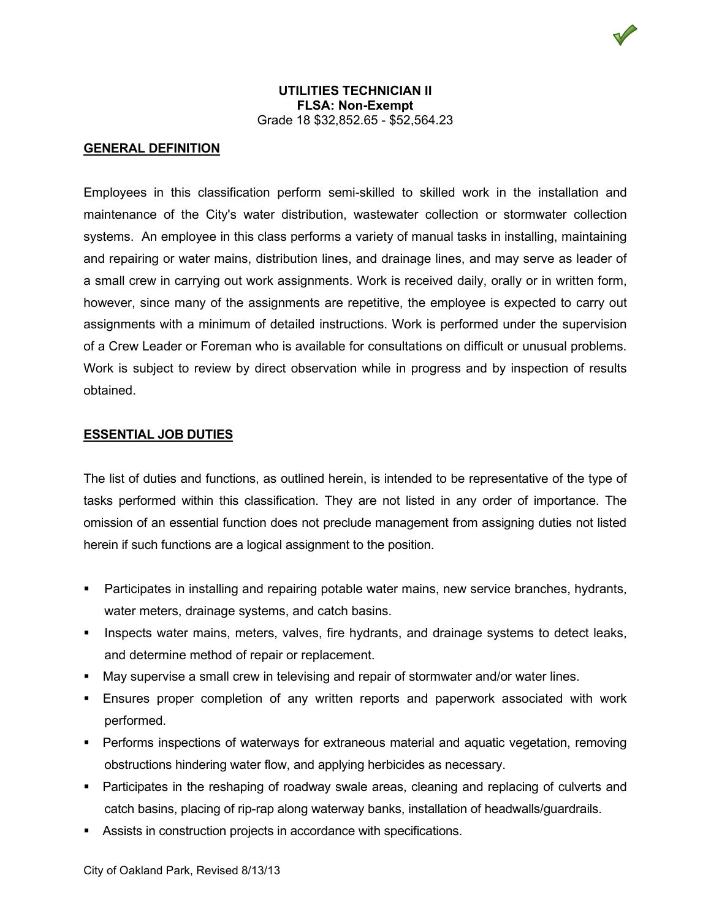V

# **GENERAL DEFINITION**

Employees in this classification perform semi-skilled to skilled work in the installation and maintenance of the City's water distribution, wastewater collection or stormwater collection systems. An employee in this class performs a variety of manual tasks in installing, maintaining and repairing or water mains, distribution lines, and drainage lines, and may serve as leader of a small crew in carrying out work assignments. Work is received daily, orally or in written form, however, since many of the assignments are repetitive, the employee is expected to carry out assignments with a minimum of detailed instructions. Work is performed under the supervision of a Crew Leader or Foreman who is available for consultations on difficult or unusual problems. Work is subject to review by direct observation while in progress and by inspection of results obtained.

### **ESSENTIAL JOB DUTIES**

The list of duties and functions, as outlined herein, is intended to be representative of the type of tasks performed within this classification. They are not listed in any order of importance. The omission of an essential function does not preclude management from assigning duties not listed herein if such functions are a logical assignment to the position.

- **Participates in installing and repairing potable water mains, new service branches, hydrants,** water meters, drainage systems, and catch basins.
- Inspects water mains, meters, valves, fire hydrants, and drainage systems to detect leaks, and determine method of repair or replacement.
- May supervise a small crew in televising and repair of stormwater and/or water lines.
- Ensures proper completion of any written reports and paperwork associated with work performed.
- Performs inspections of waterways for extraneous material and aquatic vegetation, removing obstructions hindering water flow, and applying herbicides as necessary.
- Participates in the reshaping of roadway swale areas, cleaning and replacing of culverts and catch basins, placing of rip-rap along waterway banks, installation of headwalls/guardrails.
- Assists in construction projects in accordance with specifications.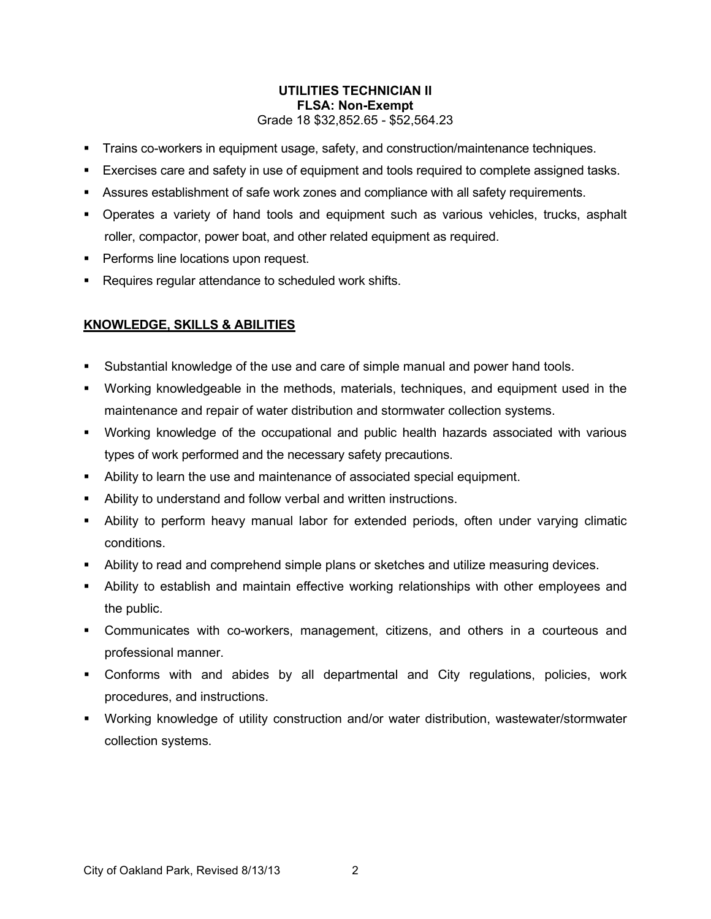# **UTILITIES TECHNICIAN II FLSA: Non-Exempt** Grade 18 \$32,852.65 - \$52,564.23

- **Trains co-workers in equipment usage, safety, and construction/maintenance techniques.**
- Exercises care and safety in use of equipment and tools required to complete assigned tasks.
- Assures establishment of safe work zones and compliance with all safety requirements.
- Operates a variety of hand tools and equipment such as various vehicles, trucks, asphalt roller, compactor, power boat, and other related equipment as required.
- **Performs line locations upon request.**
- **Requires regular attendance to scheduled work shifts.**

# **KNOWLEDGE, SKILLS & ABILITIES**

- Substantial knowledge of the use and care of simple manual and power hand tools.
- Working knowledgeable in the methods, materials, techniques, and equipment used in the maintenance and repair of water distribution and stormwater collection systems.
- Working knowledge of the occupational and public health hazards associated with various types of work performed and the necessary safety precautions.
- Ability to learn the use and maintenance of associated special equipment.
- Ability to understand and follow verbal and written instructions.
- Ability to perform heavy manual labor for extended periods, often under varying climatic conditions.
- Ability to read and comprehend simple plans or sketches and utilize measuring devices.
- Ability to establish and maintain effective working relationships with other employees and the public.
- Communicates with co-workers, management, citizens, and others in a courteous and professional manner.
- Conforms with and abides by all departmental and City regulations, policies, work procedures, and instructions.
- Working knowledge of utility construction and/or water distribution, wastewater/stormwater collection systems.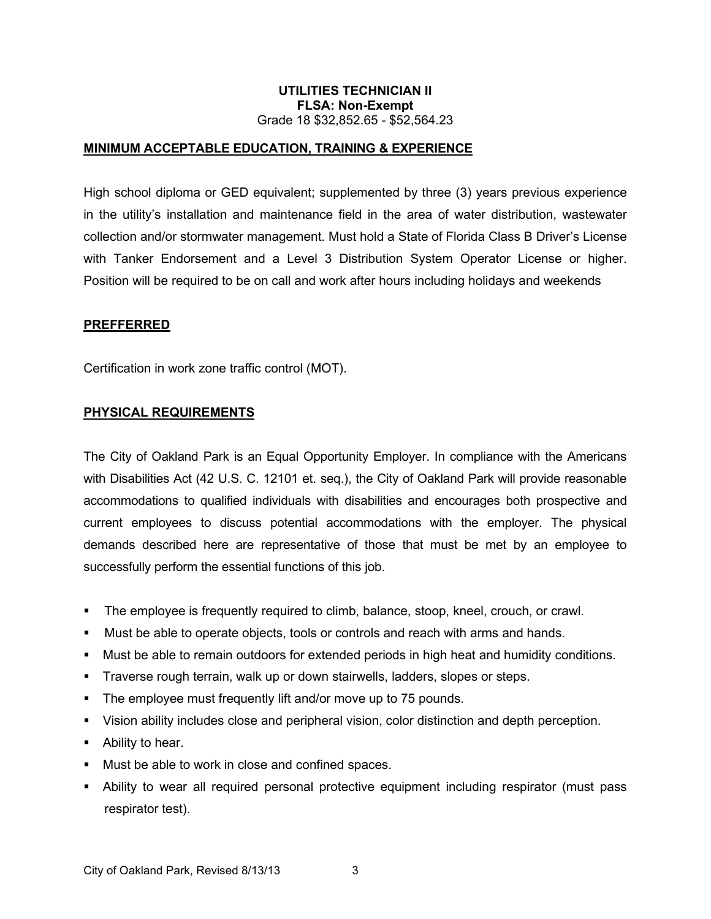# **UTILITIES TECHNICIAN II FLSA: Non-Exempt** Grade 18 \$32,852.65 - \$52,564.23

# **MINIMUM ACCEPTABLE EDUCATION, TRAINING & EXPERIENCE**

High school diploma or GED equivalent; supplemented by three (3) years previous experience in the utility's installation and maintenance field in the area of water distribution, wastewater collection and/or stormwater management. Must hold a State of Florida Class B Driver's License with Tanker Endorsement and a Level 3 Distribution System Operator License or higher. Position will be required to be on call and work after hours including holidays and weekends

### **PREFFERRED**

Certification in work zone traffic control (MOT).

#### **PHYSICAL REQUIREMENTS**

The City of Oakland Park is an Equal Opportunity Employer. In compliance with the Americans with Disabilities Act (42 U.S. C. 12101 et. seq.), the City of Oakland Park will provide reasonable accommodations to qualified individuals with disabilities and encourages both prospective and current employees to discuss potential accommodations with the employer. The physical demands described here are representative of those that must be met by an employee to successfully perform the essential functions of this job.

- The employee is frequently required to climb, balance, stoop, kneel, crouch, or crawl.
- Must be able to operate objects, tools or controls and reach with arms and hands.
- Must be able to remain outdoors for extended periods in high heat and humidity conditions.
- Traverse rough terrain, walk up or down stairwells, ladders, slopes or steps.
- **The employee must frequently lift and/or move up to 75 pounds.**
- Vision ability includes close and peripheral vision, color distinction and depth perception.
- Ability to hear.
- Must be able to work in close and confined spaces.
- Ability to wear all required personal protective equipment including respirator (must pass respirator test).